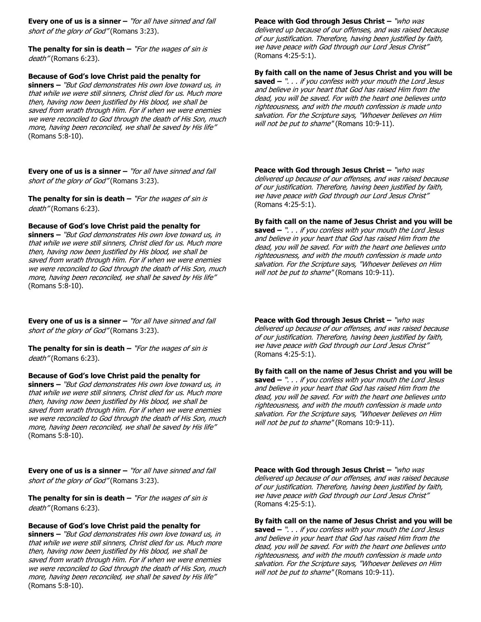**Every one of us is a sinner –** "for all have sinned and fall short of the glory of God" (Romans 3:23).

**The penalty for sin is death –** "For the wages of sin is death" (Romans 6:23).

## **Because of God's love Christ paid the penalty for**

**sinners –** "But God demonstrates His own love toward us, in that while we were still sinners, Christ died for us. Much more then, having now been justified by His blood, we shall be saved from wrath through Him. For if when we were enemies we were reconciled to God through the death of His Son, much more, having been reconciled, we shall be saved by His life" (Romans 5:8-10).

**Every one of us is a sinner –** "for all have sinned and fall short of the glory of God" (Romans 3:23).

**The penalty for sin is death –** "For the wages of sin is death" (Romans 6:23).

### **Because of God's love Christ paid the penalty for**

**sinners –** "But God demonstrates His own love toward us, in that while we were still sinners, Christ died for us. Much more then, having now been justified by His blood, we shall be saved from wrath through Him. For if when we were enemies we were reconciled to God through the death of His Son, much more, having been reconciled, we shall be saved by His life" (Romans 5:8-10).

**Every one of us is a sinner –** "for all have sinned and fall short of the glory of God" (Romans 3:23).

**The penalty for sin is death –** "For the wages of sin is death" (Romans 6:23).

## **Because of God's love Christ paid the penalty for**

**sinners –** "But God demonstrates His own love toward us, in that while we were still sinners, Christ died for us. Much more then, having now been justified by His blood, we shall be saved from wrath through Him. For if when we were enemies we were reconciled to God through the death of His Son, much more, having been reconciled, we shall be saved by His life" (Romans 5:8-10).

**Every one of us is a sinner –** "for all have sinned and fall short of the glory of God" (Romans 3:23).

**The penalty for sin is death –** "For the wages of sin is death" (Romans 6:23).

### **Because of God's love Christ paid the penalty for**

**sinners –** "But God demonstrates His own love toward us, in that while we were still sinners, Christ died for us. Much more then, having now been justified by His blood, we shall be saved from wrath through Him. For if when we were enemies we were reconciled to God through the death of His Son, much more, having been reconciled, we shall be saved by His life" (Romans 5:8-10).

**Peace with God through Jesus Christ –** "who was delivered up because of our offenses, and was raised because of our justification. Therefore, having been justified by faith, we have peace with God through our Lord Jesus Christ" (Romans 4:25-5:1).

# **By faith call on the name of Jesus Christ and you will be**

**saved –** ". . . if you confess with your mouth the Lord Jesus and believe in your heart that God has raised Him from the dead, you will be saved. For with the heart one believes unto righteousness, and with the mouth confession is made unto salvation. For the Scripture says, "Whoever believes on Him will not be put to shame" (Romans 10:9-11).

**Peace with God through Jesus Christ –** "who was delivered up because of our offenses, and was raised because of our justification. Therefore, having been justified by faith, we have peace with God through our Lord Jesus Christ" (Romans 4:25-5:1).

### **By faith call on the name of Jesus Christ and you will be**

**saved –** ". . . if you confess with your mouth the Lord Jesus and believe in your heart that God has raised Him from the dead, you will be saved. For with the heart one believes unto righteousness, and with the mouth confession is made unto salvation. For the Scripture says, "Whoever believes on Him will not be put to shame" (Romans 10:9-11).

**Peace with God through Jesus Christ –** "who was delivered up because of our offenses, and was raised because of our justification. Therefore, having been justified by faith, we have peace with God through our Lord Jesus Christ" (Romans 4:25-5:1).

**By faith call on the name of Jesus Christ and you will be saved –** ". . . if you confess with your mouth the Lord Jesus and believe in your heart that God has raised Him from the dead, you will be saved. For with the heart one believes unto righteousness, and with the mouth confession is made unto salvation. For the Scripture says, "Whoever believes on Him will not be put to shame" (Romans 10:9-11).

**Peace with God through Jesus Christ –** "who was delivered up because of our offenses, and was raised because of our justification. Therefore, having been justified by faith, we have peace with God through our Lord Jesus Christ" (Romans 4:25-5:1).

### **By faith call on the name of Jesus Christ and you will be**

**saved –** ". . . if you confess with your mouth the Lord Jesus and believe in your heart that God has raised Him from the dead, you will be saved. For with the heart one believes unto righteousness, and with the mouth confession is made unto salvation. For the Scripture says, "Whoever believes on Him will not be put to shame" (Romans 10:9-11).